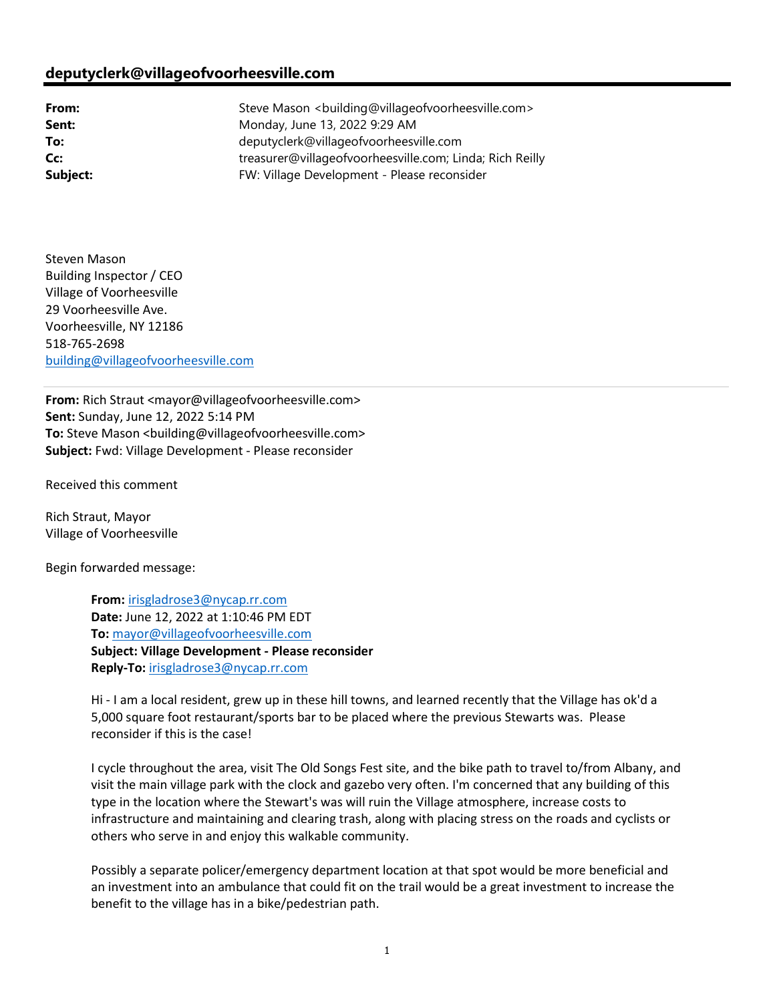## deputyclerk@villageofvoorheesville.com

From: Steve Mason <br/>
Steve Mason <br/>
Stuilding@villageofvoorheesville.com> **Sent:** Monday, June 13, 2022 9:29 AM To: deputyclerk@villageofvoorheesville.com Cc: treasurer@villageofvoorheesville.com; Linda; Rich Reilly Subject: FW: Village Development - Please reconsider

Steven Mason Building Inspector / CEO Village of Voorheesville 29 Voorheesville Ave. Voorheesville, NY 12186 518-765-2698 building@villageofvoorheesville.com

From: Rich Straut <mayor@villageofvoorheesville.com> Sent: Sunday, June 12, 2022 5:14 PM To: Steve Mason < building@villageofvoorheesville.com> Subject: Fwd: Village Development - Please reconsider

Received this comment

Rich Straut, Mayor Village of Voorheesville

Begin forwarded message:

From: irisgladrose3@nycap.rr.com Date: June 12, 2022 at 1:10:46 PM EDT To: mayor@villageofvoorheesville.com Subject: Village Development - Please reconsider Reply-To: irisgladrose3@nycap.rr.com

Hi - I am a local resident, grew up in these hill towns, and learned recently that the Village has ok'd a 5,000 square foot restaurant/sports bar to be placed where the previous Stewarts was. Please reconsider if this is the case!

I cycle throughout the area, visit The Old Songs Fest site, and the bike path to travel to/from Albany, and visit the main village park with the clock and gazebo very often. I'm concerned that any building of this type in the location where the Stewart's was will ruin the Village atmosphere, increase costs to infrastructure and maintaining and clearing trash, along with placing stress on the roads and cyclists or others who serve in and enjoy this walkable community.

Possibly a separate policer/emergency department location at that spot would be more beneficial and an investment into an ambulance that could fit on the trail would be a great investment to increase the benefit to the village has in a bike/pedestrian path.